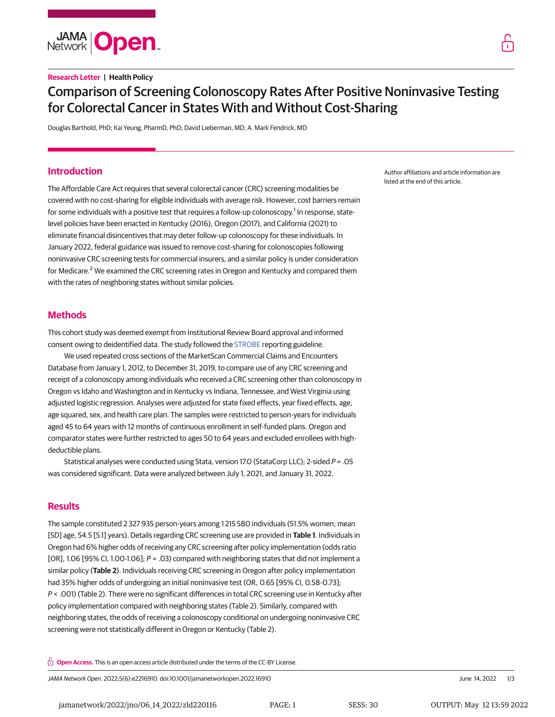

## **Research Letter | Health Policy**

# Comparison of Screening Colonoscopy Rates After Positive Noninvasive Testing for Colorectal Cancer in States With and Without Cost-Sharing

Douglas Barthold, PhD; Kai Yeung, PharmD, PhD; David Lieberman, MD; A. Mark Fendrick, MD

# **Introduction**

The Affordable Care Act requires that several colorectal cancer (CRC) screening modalities be covered with no cost-sharing for eligible individuals with average risk. However, cost barriers remain for some individuals with a positive test that requires a follow-up colonoscopy. $^{\rm 1}$  In response, statelevel policies have been enacted in Kentucky (2016), Oregon (2017), and California (2021) to eliminate financial disincentives that may deter follow-up colonoscopy for these individuals. In January 2022, federal guidance was issued to remove cost-sharing for colonoscopies following noninvasive CRC screening tests for commercial insurers, and a similar policy is under consideration for Medicare.<sup>2</sup> We examined the CRC screening rates in Oregon and Kentucky and compared them with the rates of neighboring states without similar policies.

# **Methods**

This cohort study was deemed exempt from Institutional Review Board approval and informed consent owing to deidentified data. The study followed the [STROBE](https://www.equator-network.org/reporting-guidelines/strobe/) reporting guideline.

We used repeated cross sections of the MarketScan Commercial Claims and Encounters Database from January 1, 2012, to December 31, 2019, to compare use of any CRC screening and receipt of a colonoscopy among individuals who received a CRC screening other than colonoscopy in Oregon vs Idaho and Washington and in Kentucky vs Indiana, Tennessee, and West Virginia using adjusted logistic regression. Analyses were adjusted for state fixed effects, year fixed effects, age, age squared, sex, and health care plan. The samples were restricted to person-years for individuals aged 45 to 64 years with 12 months of continuous enrollment in self-funded plans. Oregon and comparator states were further restricted to ages 50 to 64 years and excluded enrollees with highdeductible plans.

Statistical analyses were conducted using Stata, version 17.0 (StataCorp LLC); 2-sided P = .05 was considered significant. Data were analyzed between July 1, 2021, and January 31, 2022.

# **Results**

The sample constituted 2 327 935 person-years among 1 215 580 individuals (51.5% women; mean [SD] age, 54.5 [5.1] years). Details regarding CRC screening use are provided in **Table 1**. Individuals in Oregon had 6% higher odds of receiving any CRC screening after policy implementation (odds ratio  $[OR]$ , 1.06 [95% CI, 1.00-1.06];  $P = .03$ ) compared with neighboring states that did not implement a similar policy (**Table 2**). Individuals receiving CRC screening in Oregon after policy implementation had 35% higher odds of undergoing an initial noninvasive test (OR, 0.65 [95% CI, 0.58-0.73];  $P <$  .001) (Table 2). There were no significant differences in total CRC screening use in Kentucky after policy implementation compared with neighboring states (Table 2). Similarly, compared with neighboring states, the odds of receiving a colonoscopy conditional on undergoing noninvasive CRC screening were not statistically different in Oregon or Kentucky (Table 2).

**Open Access.** This is an open access article distributed under the terms of the CC-BY License.

JAMA Network Open. 2022;5(6):e2216910. doi:10.1001/jamanetworkopen.2022.16910 (Reprinted) June 14, 2022 1/3

Author affiliations and article information are listed at the end of this article.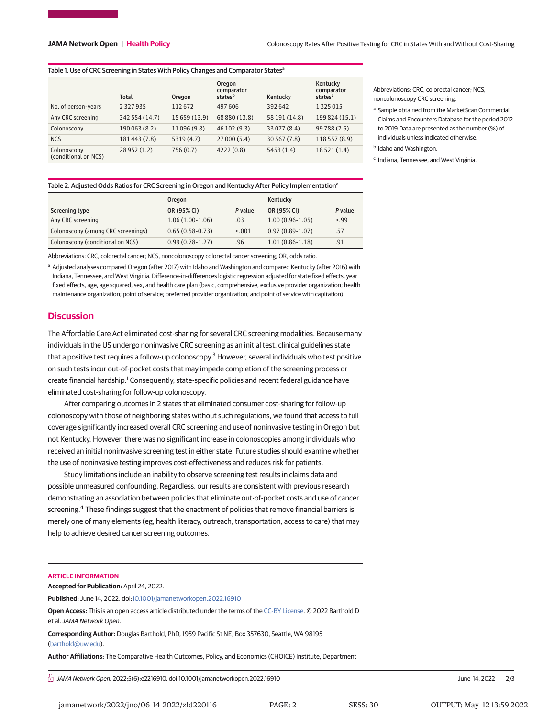#### Table 1. Use of CRC Screening in States With Policy Changes and Comparator States<sup>a</sup>

|                                     | <b>Total</b>   | Oregon        | Oregon<br>comparator<br>statesb | Kentucky      | Kentucky<br>comparator<br>states <sup>c</sup> |
|-------------------------------------|----------------|---------------|---------------------------------|---------------|-----------------------------------------------|
| No. of person-years                 | 2327935        | 112672        | 497606                          | 392642        | 1 3 2 5 0 1 5                                 |
| Any CRC screening                   | 342 554 (14.7) | 15 659 (13.9) | 68 880 (13.8)                   | 58 191 (14.8) | 199 824 (15.1)                                |
| Colonoscopy                         | 190 063 (8.2)  | 11 096 (9.8)  | 46 102 (9.3)                    | 33 077 (8.4)  | 99 788 (7.5)                                  |
| <b>NCS</b>                          | 181443 (7.8)   | 5319 (4.7)    | 27 000 (5.4)                    | 30 567 (7.8)  | 118 557 (8.9)                                 |
| Colonoscopy<br>(conditional on NCS) | 28 952 (1.2)   | 756(0.7)      | 4222(0.8)                       | 5453(1.4)     | 18 5 21 (1.4)                                 |

Abbreviations: CRC, colorectal cancer; NCS, noncolonoscopy CRC screening.

- <sup>a</sup> Sample obtained from the MarketScan Commercial Claims and Encounters Database for the period 2012 to 2019.Data are presented as the number (%) of individuals unless indicated otherwise.
- **b** Idaho and Washington.
- <sup>c</sup> Indiana, Tennessee, and West Virginia.

|                                    | Oregon            |         | Kentucky          |         |
|------------------------------------|-------------------|---------|-------------------|---------|
| Screening type                     | OR (95% CI)       | P value | OR (95% CI)       | P value |
| Any CRC screening                  | $1.06(1.00-1.06)$ | .03     | $1.00(0.96-1.05)$ | > 99    |
| Colonoscopy (among CRC screenings) | $0.65(0.58-0.73)$ | < 0.01  | $0.97(0.89-1.07)$ | .57     |
| Colonoscopy (conditional on NCS)   | $0.99(0.78-1.27)$ | .96     | $1.01(0.86-1.18)$ | .91     |

Abbreviations: CRC, colorectal cancer; NCS, noncolonoscopy colorectal cancer screening; OR, odds ratio.

a Adjusted analyses compared Oregon (after 2017) with Idaho and Washington and compared Kentucky (after 2016) with Indiana, Tennessee, and West Virginia. Difference-in-differences logistic regression adjusted for state fixed effects, year fixed effects, age, age squared, sex, and health care plan (basic, comprehensive, exclusive provider organization; health maintenance organization; point of service; preferred provider organization; and point of service with capitation).

# **Discussion**

The Affordable Care Act eliminated cost-sharing for several CRC screening modalities. Because many individuals in the US undergo noninvasive CRC screening as an initial test, clinical guidelines state that a positive test requires a follow-up colonoscopy.<sup>3</sup> However, several individuals who test positive on such tests incur out-of-pocket costs that may impede completion of the screening process or create financial hardship.<sup>1</sup> Consequently, state-specific policies and recent federal guidance have eliminated cost-sharing for follow-up colonoscopy.

After comparing outcomes in 2 states that eliminated consumer cost-sharing for follow-up colonoscopy with those of neighboring states without such regulations, we found that access to full coverage significantly increased overall CRC screening and use of noninvasive testing in Oregon but not Kentucky. However, there was no significant increase in colonoscopies among individuals who received an initial noninvasive screening test in either state. Future studies should examine whether the use of noninvasive testing improves cost-effectiveness and reduces risk for patients.

Study limitations include an inability to observe screening test results in claims data and possible unmeasured confounding. Regardless, our results are consistent with previous research demonstrating an association between policies that eliminate out-of-pocket costs and use of cancer screening.<sup>4</sup> These findings suggest that the enactment of policies that remove financial barriers is merely one of many elements (eg, health literacy, outreach, transportation, access to care) that may help to achieve desired cancer screening outcomes.

### **ARTICLE INFORMATION**

**Accepted for Publication:** April 24, 2022.

**Published:** June 14, 2022. doi[:10.1001/jamanetworkopen.2022.16910](https://jama.jamanetwork.com/article.aspx?doi=10.1001/jamanetworkopen.2022.16910&utm_campaign=articlePDF%26utm_medium=articlePDFlink%26utm_source=articlePDF%26utm_content=jamanetworkopen.2022.16910)

**Open Access:** This is an open access article distributed under the terms of the [CC-BY License.](https://jamanetwork.com/pages/cc-by-license-permissions/?utm_campaign=articlePDF%26utm_medium=articlePDFlink%26utm_source=articlePDF%26utm_content=jamanetworkopen.2022.16910) © 2022 Barthold D et al.JAMA Network Open.

**Corresponding Author:** Douglas Barthold, PhD, 1959 Pacific St NE, Box 357630, Seattle, WA 98195 [\(barthold@uw.edu\)](mailto:barthold@uw.edu).

**Author Affiliations:** The Comparative Health Outcomes, Policy, and Economics (CHOICE) Institute, Department

 $\stackrel{\leftarrow}{\oplus}$  JAMA Network Open. 2022;5(6):e2216910. doi:10.1001/jamanetworkopen.2022.16910 (Reprinted) and the state of the 14, 2022 2/3